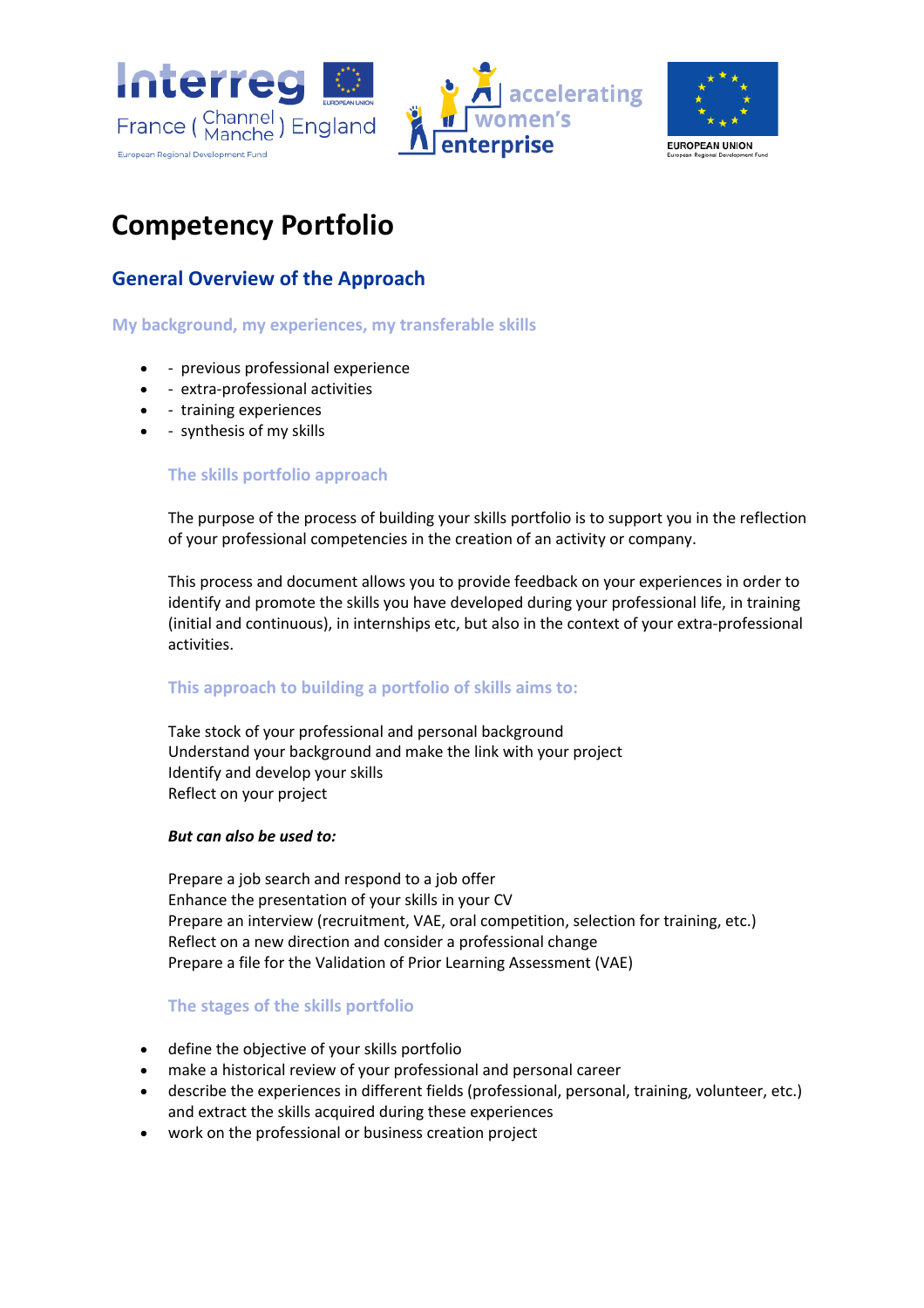



# **Competency Portfolio**

### **General Overview of the Approach**

### **My background, my experiences, my transferable skills**

- - previous professional experience
- - extra-professional activities
- - training experiences
- - synthesis of my skills

### **The skills portfolio approach**

The purpose of the process of building your skills portfolio is to support you in the reflection of your professional competencies in the creation of an activity or company.

This process and document allows you to provide feedback on your experiences in order to identify and promote the skills you have developed during your professional life, in training (initial and continuous), in internships etc, but also in the context of your extra-professional activities.

### **This approach to building a portfolio of skills aims to:**

Take stock of your professional and personal background Understand your background and make the link with your project Identify and develop your skills Reflect on your project

### *But can also be used to:*

Prepare a job search and respond to a job offer Enhance the presentation of your skills in your CV Prepare an interview (recruitment, VAE, oral competition, selection for training, etc.) Reflect on a new direction and consider a professional change Prepare a file for the Validation of Prior Learning Assessment (VAE)

### **The stages of the skills portfolio**

- define the objective of your skills portfolio
- make a historical review of your professional and personal career
- describe the experiences in different fields (professional, personal, training, volunteer, etc.) and extract the skills acquired during these experiences
- work on the professional or business creation project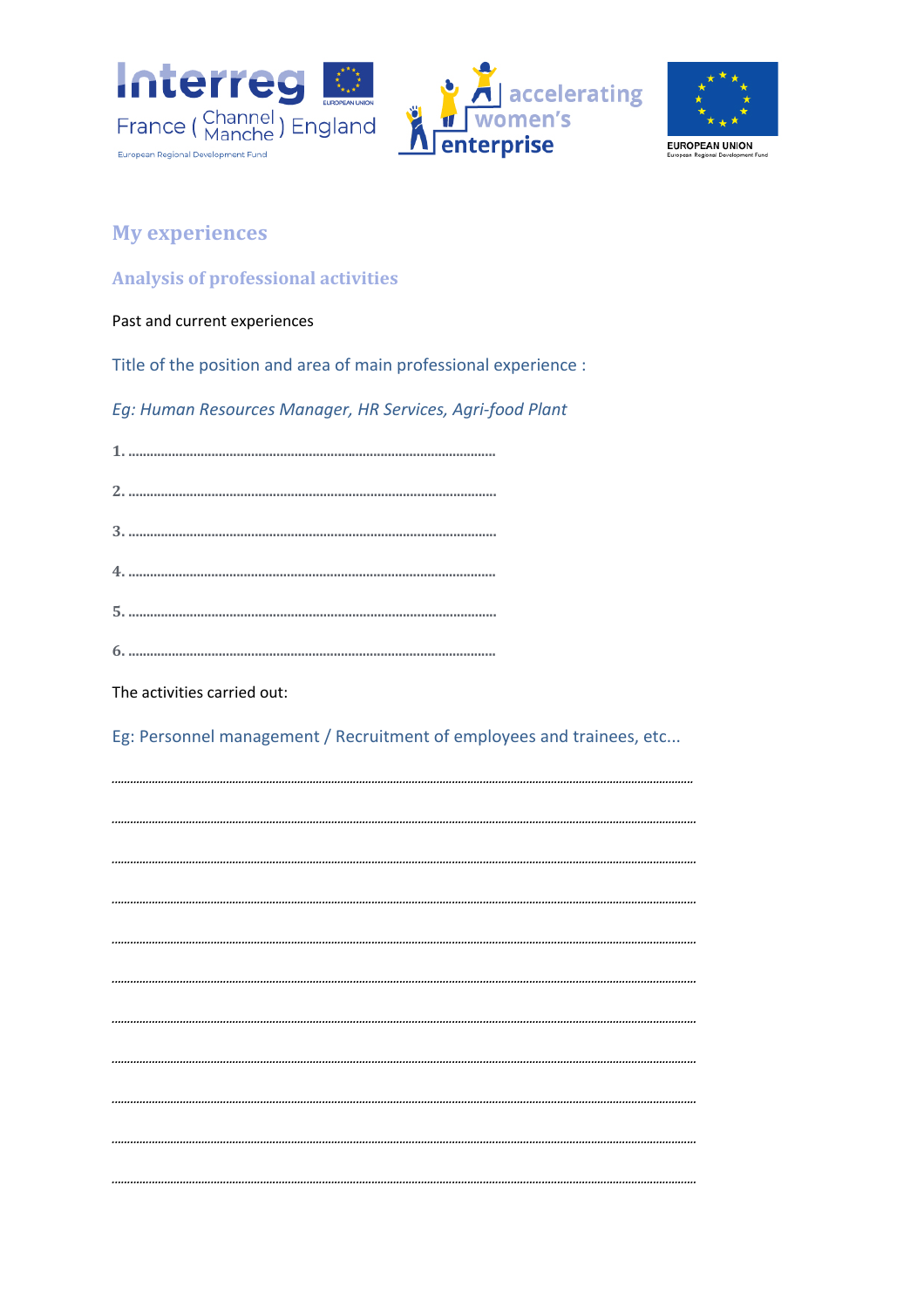





## **My experiences**

### **Analysis of professional activities**

### Past and current experiences

Title of the position and area of main professional experience :

Eg: Human Resources Manager, HR Services, Agri-food Plant

The activities carried out:

Eg: Personnel management / Recruitment of employees and trainees, etc...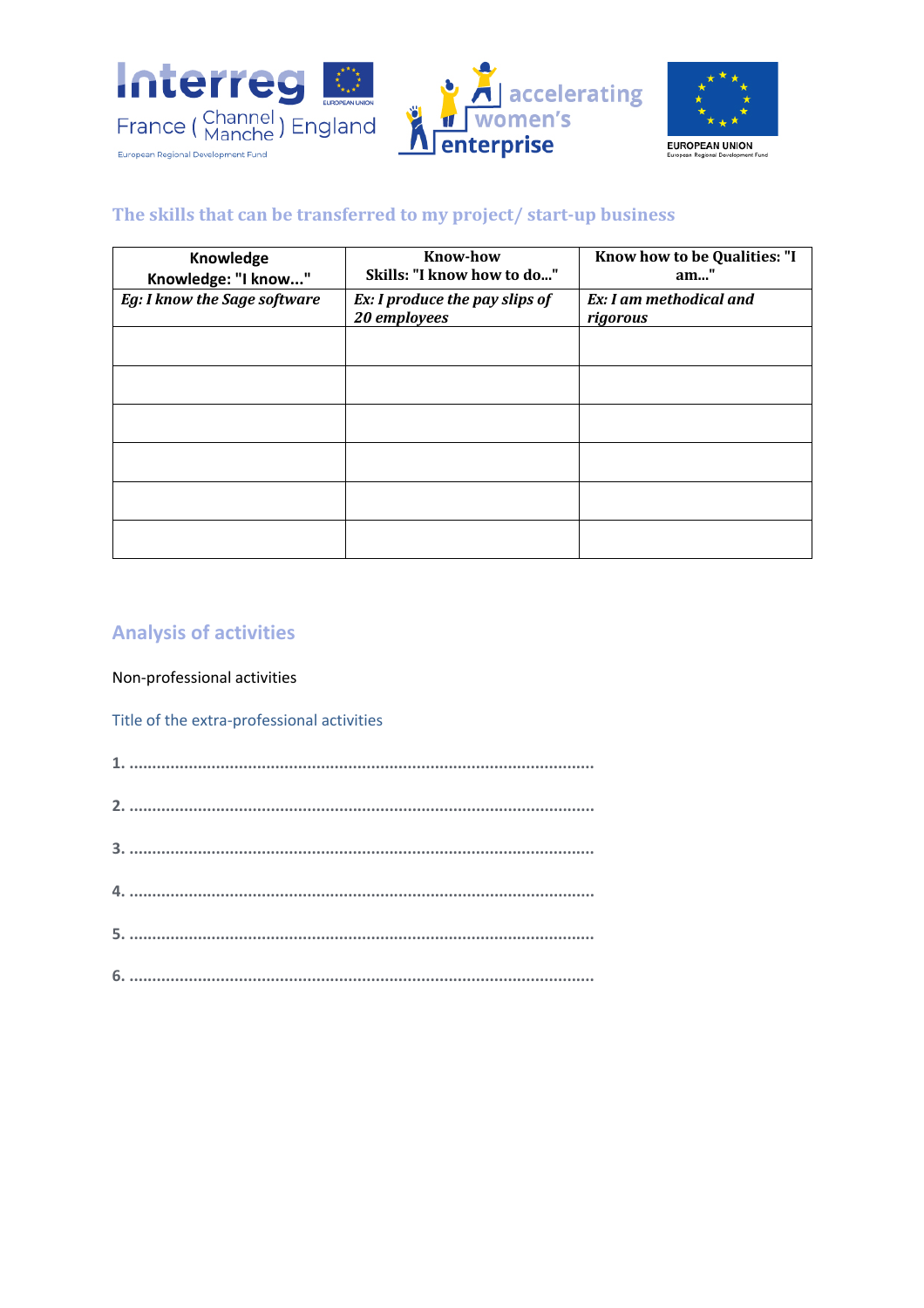



## The skills that can be transferred to my project/ start-up business

| Knowledge<br>Knowledge: "I know" | <b>Know-how</b><br>Skills: "I know how to do"  | Know how to be Qualities: "I<br>$am$ "     |
|----------------------------------|------------------------------------------------|--------------------------------------------|
| Eg: I know the Sage software     | Ex: I produce the pay slips of<br>20 employees | <b>Ex:</b> I am methodical and<br>rigorous |
|                                  |                                                |                                            |
|                                  |                                                |                                            |
|                                  |                                                |                                            |
|                                  |                                                |                                            |
|                                  |                                                |                                            |
|                                  |                                                |                                            |

### **Analysis of activities**

Non-professional activities

Title of the extra-professional activities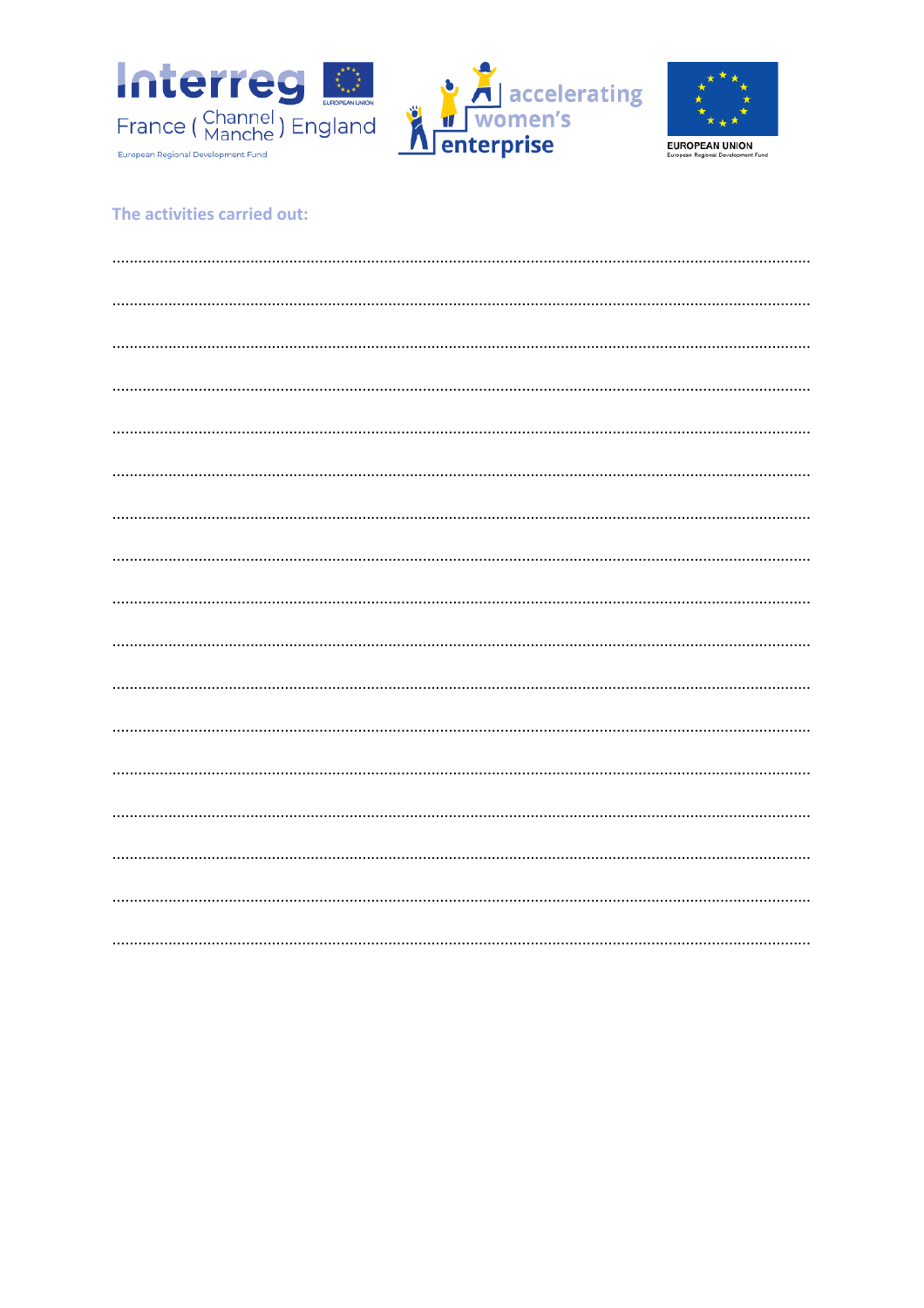





### The activities carried out: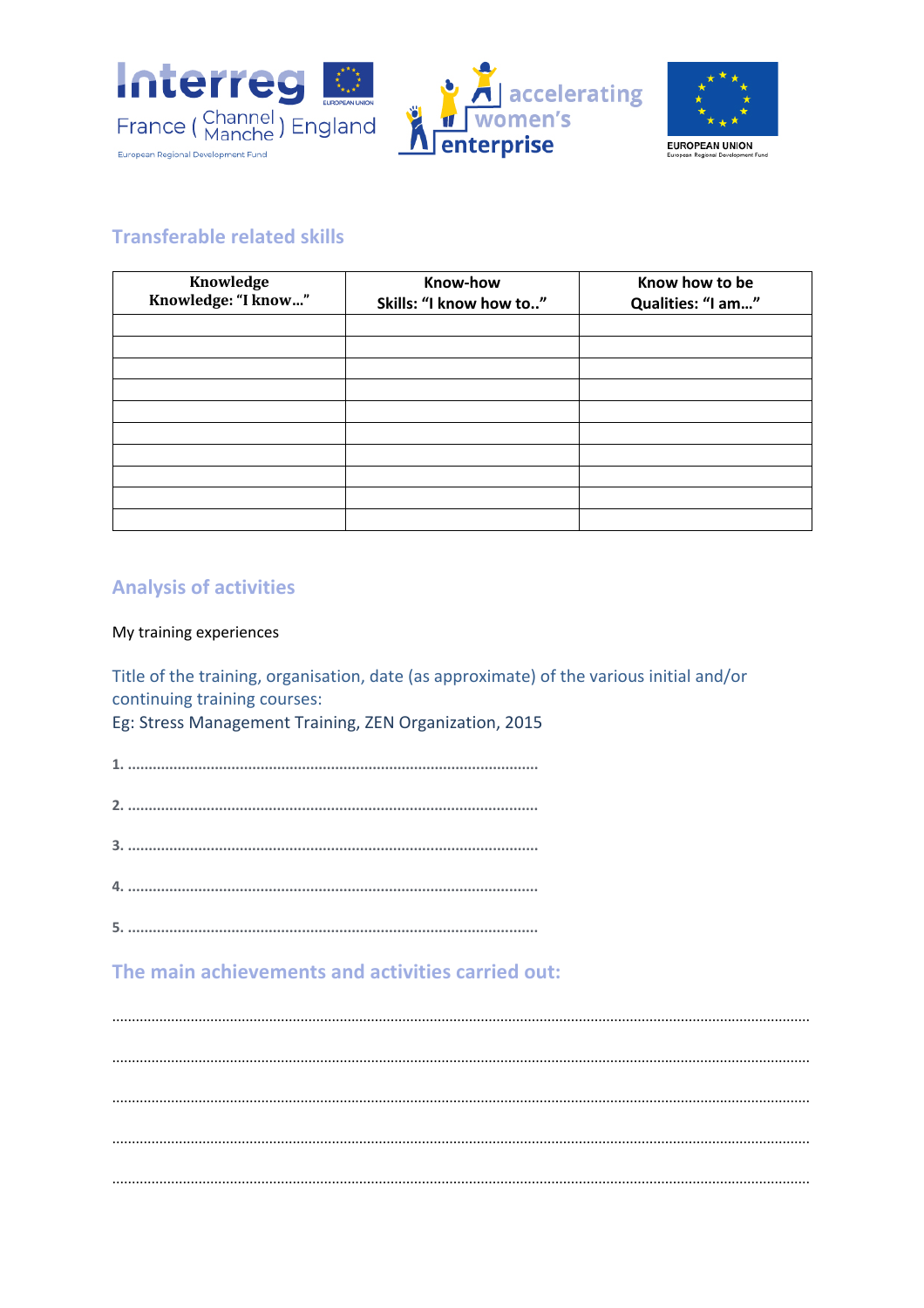





## **Transferable related skills**

| Knowledge<br>Knowledge: "I know" | Know-how<br>Skills: "I know how to" | Know how to be<br>Qualities: "I am" |
|----------------------------------|-------------------------------------|-------------------------------------|
|                                  |                                     |                                     |
|                                  |                                     |                                     |
|                                  |                                     |                                     |
|                                  |                                     |                                     |
|                                  |                                     |                                     |
|                                  |                                     |                                     |
|                                  |                                     |                                     |
|                                  |                                     |                                     |
|                                  |                                     |                                     |
|                                  |                                     |                                     |

## **Analysis of activities**

### My training experiences

Title of the training, organisation, date (as approximate) of the various initial and/or continuing training courses: Eg: Stress Management Training, ZEN Organization, 2015

## The main achievements and activities carried out: